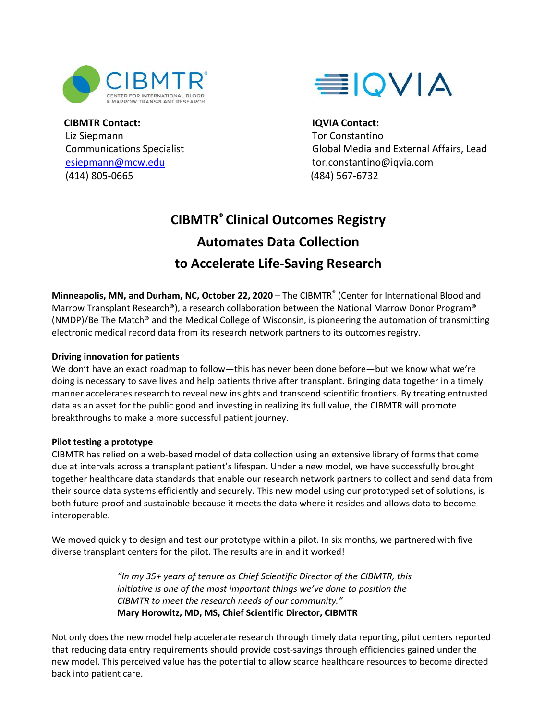



**CIBMTR Contact:** Liz Siepmann Communications Specialist [esiepmann@mcw.edu](mailto:esiepmann@mcw.edu) (414) 805-0665

**IQVIA Contact:** Tor Constantino Global Media and External Affairs, Lead [tor.constantino@iqvia.com](mailto:tor.constantino@iqvia.com) (484) 567-6732

# **CIBMTR® Clinical Outcomes Registry Automates Data Collection to Accelerate Life-Saving Research**

**Minneapolis, MN, and Durham, NC, October 22, 2020** – The CIBMTR<sup>®</sup> (Center for International Blood and Marrow Transplant Research®), a research collaboration between the National Marrow Donor Program® (NMDP)/Be The Match® and the Medical College of Wisconsin, is pioneering the automation of transmitting electronic medical record data from its research network partners to its outcomes registry.

### **Driving innovation for patients**

We don't have an exact roadmap to follow—this has never been done before—but we know what we're doing is necessary to save lives and help patients thrive after transplant. Bringing data together in a timely manner accelerates research to reveal new insights and transcend scientific frontiers. By treating entrusted data as an asset for the public good and investing in realizing its full value, the CIBMTR will promote breakthroughs to make a more successful patient journey.

#### **Pilot testing a prototype**

CIBMTR has relied on a web-based model of data collection using an extensive library of forms that come due at intervals across a transplant patient's lifespan. Under a new model, we have successfully brought together healthcare data standards that enable our research network partners to collect and send data from their source data systems efficiently and securely. This new model using our prototyped set of solutions, is both future-proof and sustainable because it meets the data where it resides and allows data to become interoperable.

We moved quickly to design and test our prototype within a pilot. In six months, we partnered with five diverse transplant centers for the pilot. The results are in and it worked!

> *"In my 35+ years of tenure as Chief Scientific Director of the CIBMTR, this initiative is one of the most important things we've done to position the CIBMTR to meet the research needs of our community."* **Mary Horowitz, MD, MS, Chief Scientific Director, CIBMTR**

Not only does the new model help accelerate research through timely data reporting, pilot centers reported that reducing data entry requirements should provide cost-savings through efficiencies gained under the new model. This perceived value has the potential to allow scarce healthcare resources to become directed back into patient care.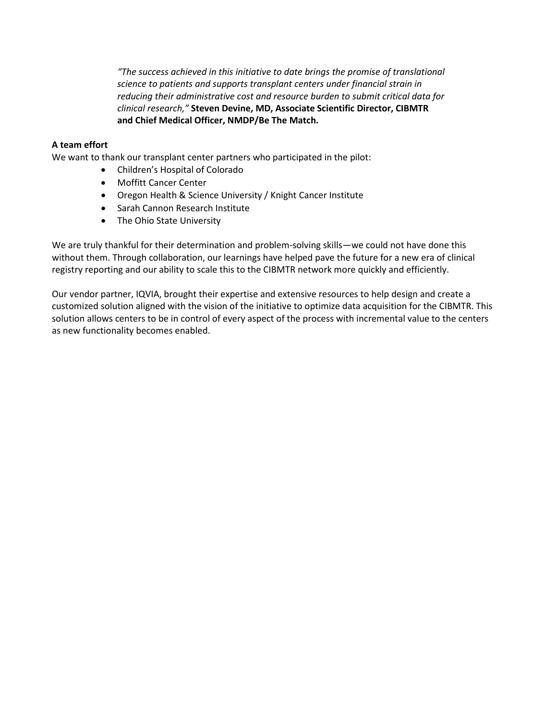*"The success achieved in this initiative to date brings the promise of translational science to patients and supports transplant centers under financial strain in reducing their administrative cost and resource burden to submit critical data for clinical research,"* **Steven Devine, MD, Associate Scientific Director, CIBMTR and Chief Medical Officer, NMDP/Be The Match.**

#### **A team effort**

We want to thank our transplant center partners who participated in the pilot:

- Children's Hospital of Colorado
- Moffitt Cancer Center
- Oregon Health & Science University / Knight Cancer Institute
- Sarah Cannon Research Institute
- The Ohio State University

We are truly thankful for their determination and problem-solving skills—we could not have done this without them. Through collaboration, our learnings have helped pave the future for a new era of clinical registry reporting and our ability to scale this to the CIBMTR network more quickly and efficiently.

Our vendor partner, IQVIA, brought their expertise and extensive resources to help design and create a customized solution aligned with the vision of the initiative to optimize data acquisition for the CIBMTR. This solution allows centers to be in control of every aspect of the process with incremental value to the centers as new functionality becomes enabled.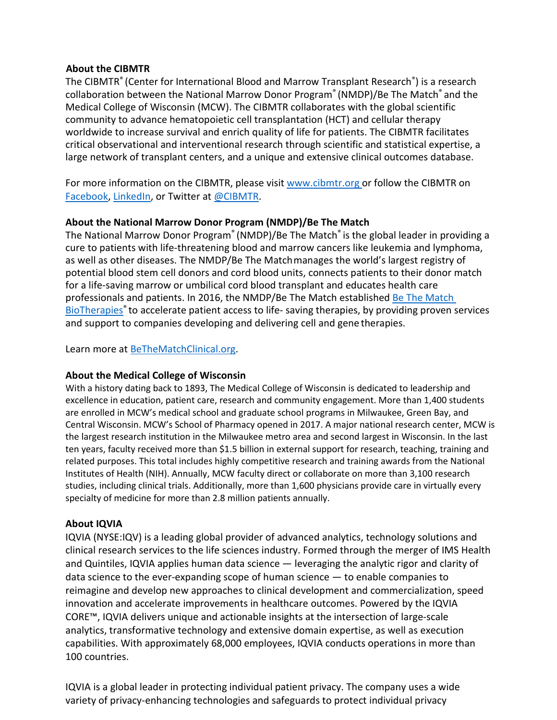## **About the CIBMTR**

The [CIBMTR®](https://www.cibmtr.org/About/Pages/index.aspx) (Center for International Blood and Marrow Transplant Research®) is a research collaboration between the National Marrow Donor Program® (NMDP)/Be The Match® and the Medical College of Wisconsin (MCW). The CIBMTR collaborates with the global scientific community to advance hematopoietic cell transplantation (HCT) and cellular therapy worldwide to increase survival and enrich quality of life for patients. The CIBMTR facilitates critical observational and interventional research through scientific and statistical expertise, a large network of transplant centers, and a unique and extensive clinical outcomes database.

For more information on the CIBMTR, please visit [www.cibmtr.org o](http://www.cibmtr.org/)r follow the CIBMTR on [Facebook,](https://urldefense.proofpoint.com/v2/url?u=https-3A__www.facebook.com_theCIBMTR_&d=DwMFAg&c=C_O335FEx-vf3XHLXGN8TO1BAxpi8-UjLCbu_DQ0pZI&r=W8oCnXIPHnkXzNIqQyE0DKXx_BjZJruXJ07iWcbmVS4&m=RTFgUTu-tGFwevoLIKr2EzdUC80pa2WA6yTQ5a8LB0g&s=Ld8r3mybf-wdShE2kE9Dqtj2Mr2yLSDB-Mm8dY-SdAE&e) [LinkedIn,](https://urldefense.proofpoint.com/v2/url?u=https-3A__www.linkedin.com_company_thecibmtr_-3FviewAsMember-3Dtrue&d=DwMFAg&c=C_O335FEx-vf3XHLXGN8TO1BAxpi8-UjLCbu_DQ0pZI&r=W8oCnXIPHnkXzNIqQyE0DKXx_BjZJruXJ07iWcbmVS4&m=RTFgUTu-tGFwevoLIKr2EzdUC80pa2WA6yTQ5a8LB0g&s=wNH6TSZYEKGEnNXhVKPH9Fa7QNEnhQ-W7GwcBbcs1A0&e) or Twitter at [@CIBMTR.](https://urldefense.proofpoint.com/v2/url?u=https-3A__twitter.com_CIBMTR&d=DwMFAg&c=C_O335FEx-vf3XHLXGN8TO1BAxpi8-UjLCbu_DQ0pZI&r=W8oCnXIPHnkXzNIqQyE0DKXx_BjZJruXJ07iWcbmVS4&m=RTFgUTu-tGFwevoLIKr2EzdUC80pa2WA6yTQ5a8LB0g&s=2-rpg9hKyB9JyI-3wayjz3I9KpFSpv2jTFAZNa-dOj4&e)

# **About the National Marrow Donor Program (NMDP)/Be The Match**

The National Marrow Donor Program<sup>®</sup> (NMDP)/Be The Match<sup>®</sup> is the global leader in providing a cure to patients with life-threatening blood and marrow cancers like leukemia and lymphoma, as well as other diseases. The NMDP/Be The Matchmanages the world's largest registry of potential blood stem cell donors and cord blood units, connects patients to their donor match for a life-saving marrow or umbilical cord blood transplant and educates health care professionals and patients. In 2016, the NMDP/Be The Match established [Be The Match](https://bethematchbiotherapies.com/about-us/?utm_source=fy20_pr_iqvia&utm_medium=press_release)  BioTherapies<sup>®</sup> to accelerate patient access to life-saving therapies, by providing proven services and support to companies developing and delivering cell and gene therapies.

Learn more at **BeTheMatchClinical.org**.

# **About the Medical College of Wisconsin**

With a history dating back to 1893, The Medical College of Wisconsin is dedicated to leadership and excellence in education, patient care, research and community engagement. More than 1,400 students are enrolled in MCW's medical school and graduate school programs in Milwaukee, Green Bay, and Central Wisconsin. MCW's School of Pharmacy opened in 2017. A major national research center, MCW is the largest research institution in the Milwaukee metro area and second largest in Wisconsin. In the last ten years, faculty received more than \$1.5 billion in external support for research, teaching, training and related purposes. This total includes highly competitive research and training awards from the National Institutes of Health (NIH). Annually, MCW faculty direct or collaborate on more than 3,100 research studies, including clinical trials. Additionally, more than 1,600 physicians provide care in virtually every specialty of medicine for more than 2.8 million patients annually.

# **About IQVIA**

IQVIA (NYSE:IQV) is a leading global provider of advanced analytics, technology solutions and clinical research services to the life sciences industry. Formed through the merger of IMS Health and Quintiles, IQVIA applies human data science — leveraging the analytic rigor and clarity of data science to the ever-expanding scope of human science  $-$  to enable companies to reimagine and develop new approaches to clinical development and commercialization, speed innovation and accelerate improvements in healthcare outcomes. Powered by the IQVIA CORE™, IQVIA delivers unique and actionable insights at the intersection of large-scale analytics, transformative technology and extensive domain expertise, as well as execution capabilities. With approximately 68,000 employees, IQVIA conducts operations in more than 100 countries.

IQVIA is a global leader in protecting individual patient privacy. The company uses a wide variety of privacy-enhancing technologies and safeguards to protect individual privacy